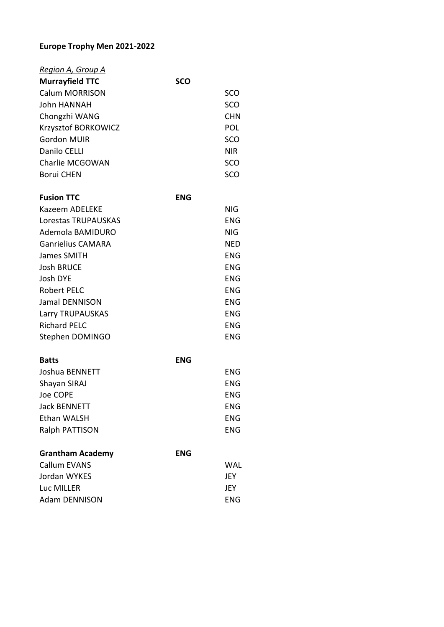## **Europe Trophy Men 2021-2022**

| Region A, Group A      |            |            |
|------------------------|------------|------------|
| <b>Murrayfield TTC</b> | <b>SCO</b> |            |
| <b>Calum MORRISON</b>  |            | SCO        |
| <b>John HANNAH</b>     |            | SCO        |
| Chongzhi WANG          |            | <b>CHN</b> |
| Krzysztof BORKOWICZ    |            | <b>POL</b> |
| Gordon MUIR            |            | SCO        |
| Danilo CELLI           |            | <b>NIR</b> |
| Charlie MCGOWAN        |            | SCO        |
| <b>Borui CHEN</b>      |            | sco        |
|                        |            |            |

| <b>Fusion TTC</b>        | <b>ENG</b> |            |
|--------------------------|------------|------------|
| Kazeem ADELEKE           |            | NIG        |
| Lorestas TRUPAUSKAS      |            | ENG        |
| Ademola BAMIDURO         |            | NIG        |
| <b>Ganrielius CAMARA</b> |            | <b>NED</b> |
| James SMITH              |            | ENG        |
| <b>Josh BRUCE</b>        |            | ENG        |
| Josh DYE                 |            | <b>ENG</b> |
| <b>Robert PELC</b>       |            | <b>ENG</b> |
| Jamal DENNISON           |            | ENG        |
| Larry TRUPAUSKAS         |            | ENG        |
| <b>Richard PELC</b>      |            | <b>ENG</b> |
| Stephen DOMINGO          |            | ENG        |

| <b>Batts</b>        | <b>ENG</b> |            |
|---------------------|------------|------------|
| Joshua BENNETT      |            | ENG        |
| Shayan SIRAJ        |            | ENG        |
| Joe COPE            |            | <b>ENG</b> |
| <b>Jack BENNETT</b> |            | <b>ENG</b> |
| Ethan WALSH         |            | <b>ENG</b> |
| Ralph PATTISON      |            | ENG        |
|                     |            |            |

| <b>Grantham Academy</b> | <b>ENG</b> |            |
|-------------------------|------------|------------|
| Callum EVANS            |            | WAL        |
| Jordan WYKES            |            | JEY        |
| Luc MILLER              |            | <b>IFY</b> |
| <b>Adam DENNISON</b>    |            | ENG        |